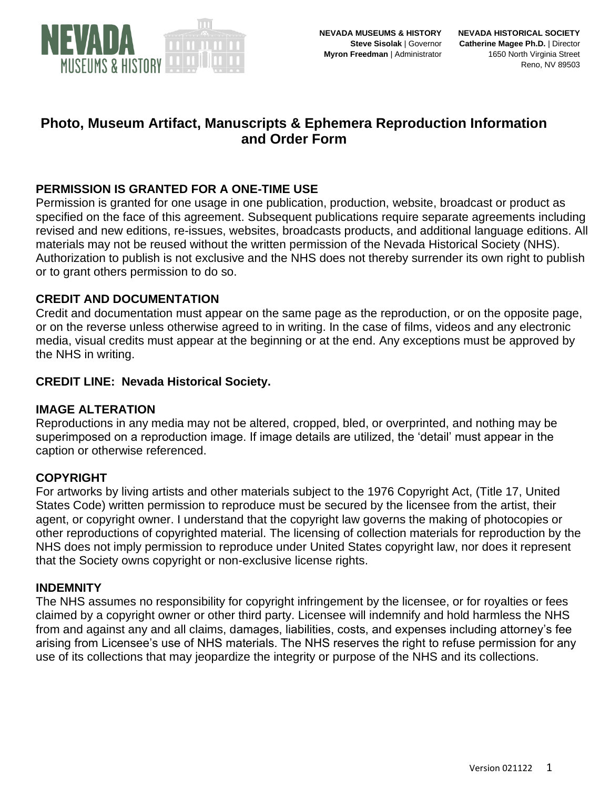

## **Photo, Museum Artifact, Manuscripts & Ephemera Reproduction Information and Order Form**

## **PERMISSION IS GRANTED FOR A ONE-TIME USE**

Permission is granted for one usage in one publication, production, website, broadcast or product as specified on the face of this agreement. Subsequent publications require separate agreements including revised and new editions, re-issues, websites, broadcasts products, and additional language editions. All materials may not be reused without the written permission of the Nevada Historical Society (NHS). Authorization to publish is not exclusive and the NHS does not thereby surrender its own right to publish or to grant others permission to do so.

#### **CREDIT AND DOCUMENTATION**

Credit and documentation must appear on the same page as the reproduction, or on the opposite page, or on the reverse unless otherwise agreed to in writing. In the case of films, videos and any electronic media, visual credits must appear at the beginning or at the end. Any exceptions must be approved by the NHS in writing.

#### **CREDIT LINE: Nevada Historical Society.**

#### **IMAGE ALTERATION**

Reproductions in any media may not be altered, cropped, bled, or overprinted, and nothing may be superimposed on a reproduction image. If image details are utilized, the 'detail' must appear in the caption or otherwise referenced.

#### **COPYRIGHT**

For artworks by living artists and other materials subject to the 1976 Copyright Act, (Title 17, United States Code) written permission to reproduce must be secured by the licensee from the artist, their agent, or copyright owner. I understand that the copyright law governs the making of photocopies or other reproductions of copyrighted material. The licensing of collection materials for reproduction by the NHS does not imply permission to reproduce under United States copyright law, nor does it represent that the Society owns copyright or non-exclusive license rights.

#### **INDEMNITY**

The NHS assumes no responsibility for copyright infringement by the licensee, or for royalties or fees claimed by a copyright owner or other third party. Licensee will indemnify and hold harmless the NHS from and against any and all claims, damages, liabilities, costs, and expenses including attorney's fee arising from Licensee's use of NHS materials. The NHS reserves the right to refuse permission for any use of its collections that may jeopardize the integrity or purpose of the NHS and its collections.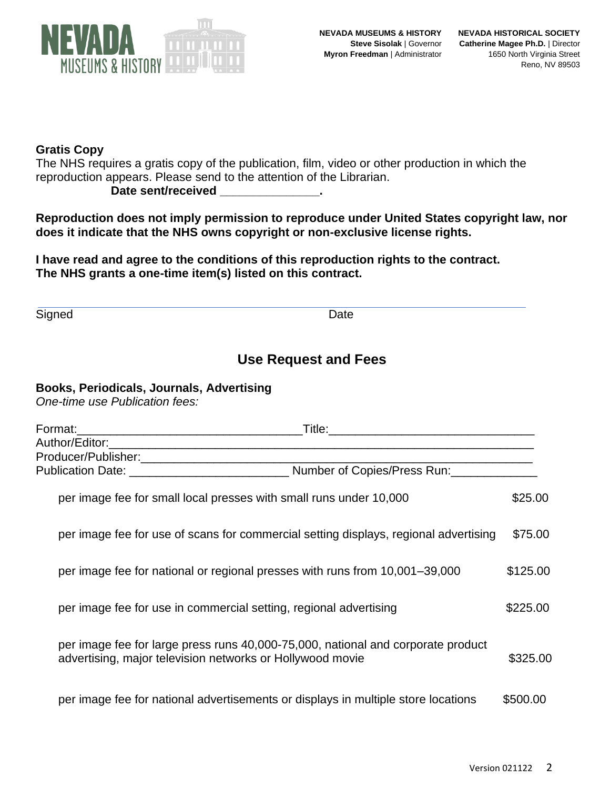

### **Gratis Copy**

The NHS requires a gratis copy of the publication, film, video or other production in which the reproduction appears. Please send to the attention of the Librarian.

**Date sent/received \_\_\_\_\_\_\_\_\_\_\_\_\_\_\_.**

**Reproduction does not imply permission to reproduce under United States copyright law, nor does it indicate that the NHS owns copyright or non-exclusive license rights.**

**I have read and agree to the conditions of this reproduction rights to the contract. The NHS grants a one-time item(s) listed on this contract.**

Signed Date **Date** 

## **Use Request and Fees**

## **Books, Periodicals, Journals, Advertising**

*One-time use Publication fees:* 

|  | per image fee for small local presses with small runs under 10,000                                                                            | \$25.00  |
|--|-----------------------------------------------------------------------------------------------------------------------------------------------|----------|
|  | per image fee for use of scans for commercial setting displays, regional advertising                                                          | \$75.00  |
|  | per image fee for national or regional presses with runs from 10,001–39,000                                                                   | \$125.00 |
|  | per image fee for use in commercial setting, regional advertising                                                                             | \$225.00 |
|  | per image fee for large press runs 40,000-75,000, national and corporate product<br>advertising, major television networks or Hollywood movie | \$325.00 |
|  | per image fee for national advertisements or displays in multiple store locations                                                             | \$500,00 |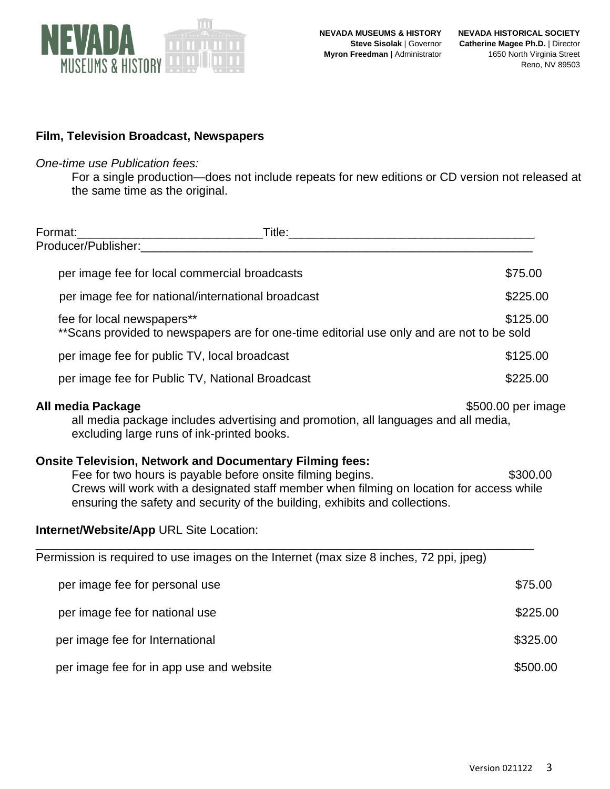

### **Film, Television Broadcast, Newspapers**

#### *One-time use Publication fees:*

For a single production—does not include repeats for new editions or CD version not released at the same time as the original.

| Format:                                                                                                                                                                                                                                                                                                  |                                                                                                                                                              |                    |  |
|----------------------------------------------------------------------------------------------------------------------------------------------------------------------------------------------------------------------------------------------------------------------------------------------------------|--------------------------------------------------------------------------------------------------------------------------------------------------------------|--------------------|--|
|                                                                                                                                                                                                                                                                                                          | Producer/Publisher:                                                                                                                                          |                    |  |
|                                                                                                                                                                                                                                                                                                          | per image fee for local commercial broadcasts                                                                                                                | \$75.00            |  |
|                                                                                                                                                                                                                                                                                                          | per image fee for national/international broadcast                                                                                                           | \$225.00           |  |
|                                                                                                                                                                                                                                                                                                          | fee for local newspapers**<br>** Scans provided to newspapers are for one-time editorial use only and are not to be sold                                     | \$125.00           |  |
|                                                                                                                                                                                                                                                                                                          | per image fee for public TV, local broadcast                                                                                                                 | \$125.00           |  |
|                                                                                                                                                                                                                                                                                                          | per image fee for Public TV, National Broadcast                                                                                                              | \$225.00           |  |
|                                                                                                                                                                                                                                                                                                          | <b>All media Package</b><br>all media package includes advertising and promotion, all languages and all media,<br>excluding large runs of ink-printed books. | \$500.00 per image |  |
| <b>Onsite Television, Network and Documentary Filming fees:</b><br>Fee for two hours is payable before onsite filming begins.<br>Crews will work with a designated staff member when filming on location for access while<br>ensuring the safety and security of the building, exhibits and collections. |                                                                                                                                                              |                    |  |
|                                                                                                                                                                                                                                                                                                          | <b>Internet/Website/App URL Site Location:</b>                                                                                                               |                    |  |
|                                                                                                                                                                                                                                                                                                          | Permission is required to use images on the Internet (max size 8 inches, 72 ppi, jpeg)                                                                       |                    |  |
|                                                                                                                                                                                                                                                                                                          | per image fee for personal use                                                                                                                               | \$75.00            |  |
|                                                                                                                                                                                                                                                                                                          | per image fee for national use                                                                                                                               | \$225.00           |  |
|                                                                                                                                                                                                                                                                                                          | per image fee for International                                                                                                                              | \$325.00           |  |
|                                                                                                                                                                                                                                                                                                          | per image fee for in app use and website                                                                                                                     | \$500.00           |  |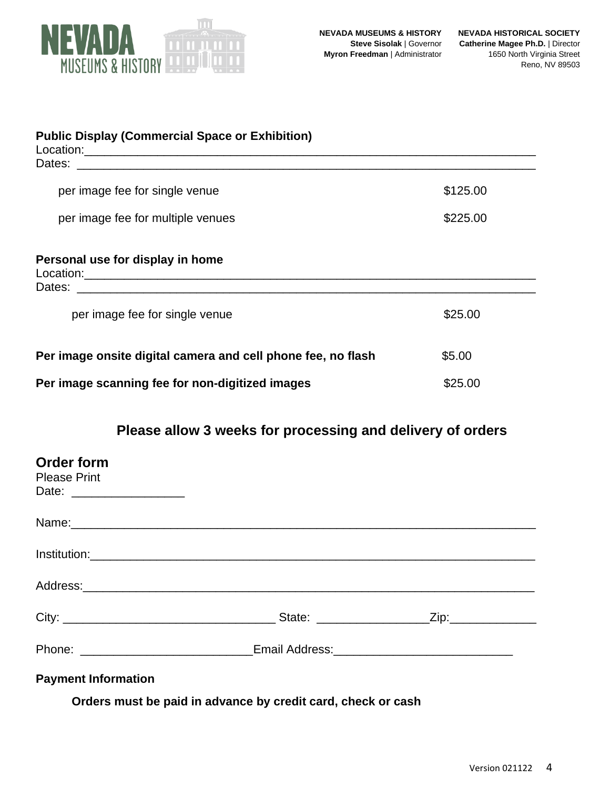

| <b>Public Display (Commercial Space or Exhibition)</b>       |          |
|--------------------------------------------------------------|----------|
| per image fee for single venue                               | \$125.00 |
| per image fee for multiple venues                            | \$225.00 |
| Personal use for display in home                             |          |
| per image fee for single venue                               | \$25.00  |
| Per image onsite digital camera and cell phone fee, no flash | \$5.00   |
| Per image scanning fee for non-digitized images              | \$25.00  |

# **Please allow 3 weeks for processing and delivery of orders**

| <b>Order form</b><br><b>Please Print</b> |                                                                                  |  |
|------------------------------------------|----------------------------------------------------------------------------------|--|
|                                          | Name: Name:                                                                      |  |
|                                          |                                                                                  |  |
|                                          |                                                                                  |  |
|                                          |                                                                                  |  |
|                                          | Phone: ________________________________Email Address:___________________________ |  |
| <b>Payment Information</b>               |                                                                                  |  |

**Orders must be paid in advance by credit card, check or cash**